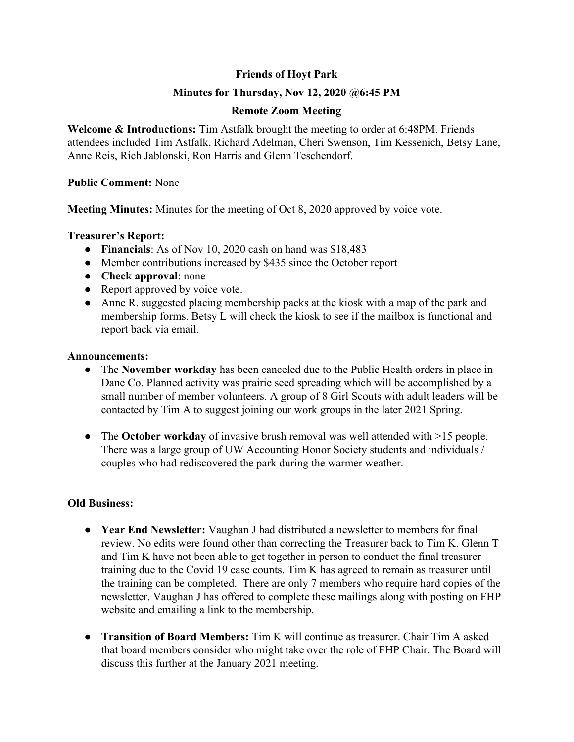# **Friends of Hoyt Park**

# **Minutes for Thursday, Nov 12, 2020 @6:45 PM**

## **Remote Zoom Meeting**

**Welcome & Introductions:** Tim Astfalk brought the meeting to order at 6:48PM. Friends attendees included Tim Astfalk, Richard Adelman, Cheri Swenson, Tim Kessenich, Betsy Lane, Anne Reis, Rich Jablonski, Ron Harris and Glenn Teschendorf.

### **Public Comment:** None

**Meeting Minutes:** Minutes for the meeting of Oct 8, 2020 approved by voice vote.

### **Treasurer's Report:**

- **Financials**: As of Nov 10, 2020 cash on hand was \$18,483
- Member contributions increased by \$435 since the October report
- **Check approval**: none
- Report approved by voice vote.
- Anne R. suggested placing membership packs at the kiosk with a map of the park and membership forms. Betsy L will check the kiosk to see if the mailbox is functional and report back via email.

#### **Announcements:**

- **●** The **November workday** has been canceled due to the Public Health orders in place in Dane Co. Planned activity was prairie seed spreading which will be accomplished by a small number of member volunteers. A group of 8 Girl Scouts with adult leaders will be contacted by Tim A to suggest joining our work groups in the later 2021 Spring.
- The **October workday** of invasive brush removal was well attended with >15 people. There was a large group of UW Accounting Honor Society students and individuals / couples who had rediscovered the park during the warmer weather.

## **Old Business:**

- **● Year End Newsletter:** Vaughan J had distributed a newsletter to members for final review. No edits were found other than correcting the Treasurer back to Tim K. Glenn T and Tim K have not been able to get together in person to conduct the final treasurer training due to the Covid 19 case counts. Tim K has agreed to remain as treasurer until the training can be completed. There are only 7 members who require hard copies of the newsletter. Vaughan J has offered to complete these mailings along with posting on FHP website and emailing a link to the membership.
- **● Transition of Board Members:** Tim K will continue as treasurer. Chair Tim A asked that board members consider who might take over the role of FHP Chair. The Board will discuss this further at the January 2021 meeting.